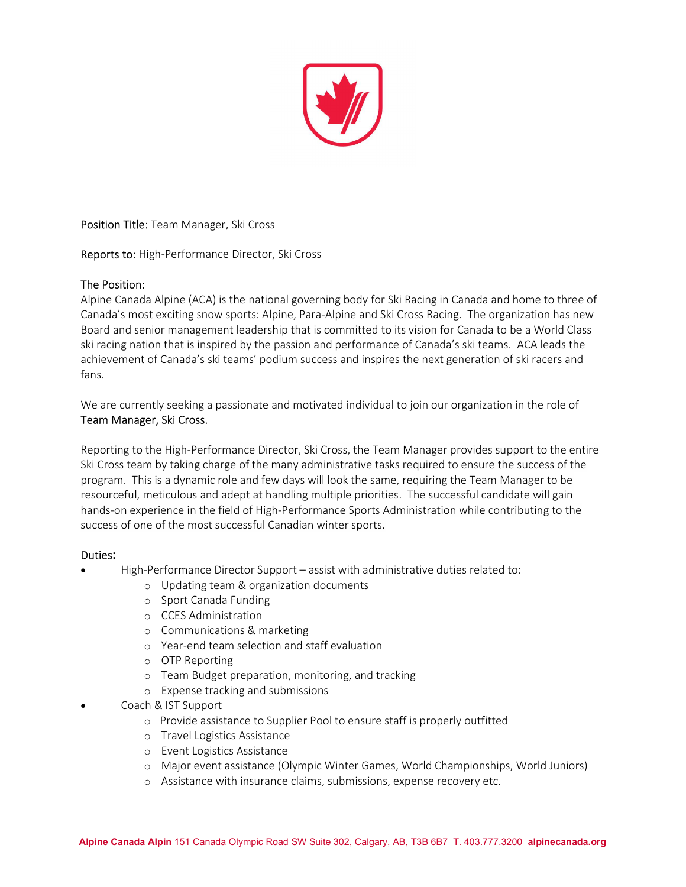

Position Title: Team Manager, Ski Cross

Reports to: High-Performance Director, Ski Cross

## The Position:

Alpine Canada Alpine (ACA) is the national governing body for Ski Racing in Canada and home to three of Canada's most exciting snow sports: Alpine, Para-Alpine and Ski Cross Racing. The organization has new Board and senior management leadership that is committed to its vision for Canada to be a World Class ski racing nation that is inspired by the passion and performance of Canada's ski teams. ACA leads the achievement of Canada's ski teams' podium success and inspires the next generation of ski racers and fans.

We are currently seeking a passionate and motivated individual to join our organization in the role of Team Manager, Ski Cross.

Reporting to the High-Performance Director, Ski Cross, the Team Manager provides support to the entire Ski Cross team by taking charge of the many administrative tasks required to ensure the success of the program. This is a dynamic role and few days will look the same, requiring the Team Manager to be resourceful, meticulous and adept at handling multiple priorities. The successful candidate will gain hands-on experience in the field of High-Performance Sports Administration while contributing to the success of one of the most successful Canadian winter sports.

### Duties:

- High-Performance Director Support assist with administrative duties related to:
	- o Updating team & organization documents
	- o Sport Canada Funding
	- o CCES Administration
	- o Communications & marketing
	- o Year-end team selection and staff evaluation
	- o OTP Reporting
	- o Team Budget preparation, monitoring, and tracking
	- o Expense tracking and submissions
- Coach & IST Support
	- o Provide assistance to Supplier Pool to ensure staff is properly outfitted
	- o Travel Logistics Assistance
	- o Event Logistics Assistance
	- o Major event assistance (Olympic Winter Games, World Championships, World Juniors)
	- o Assistance with insurance claims, submissions, expense recovery etc.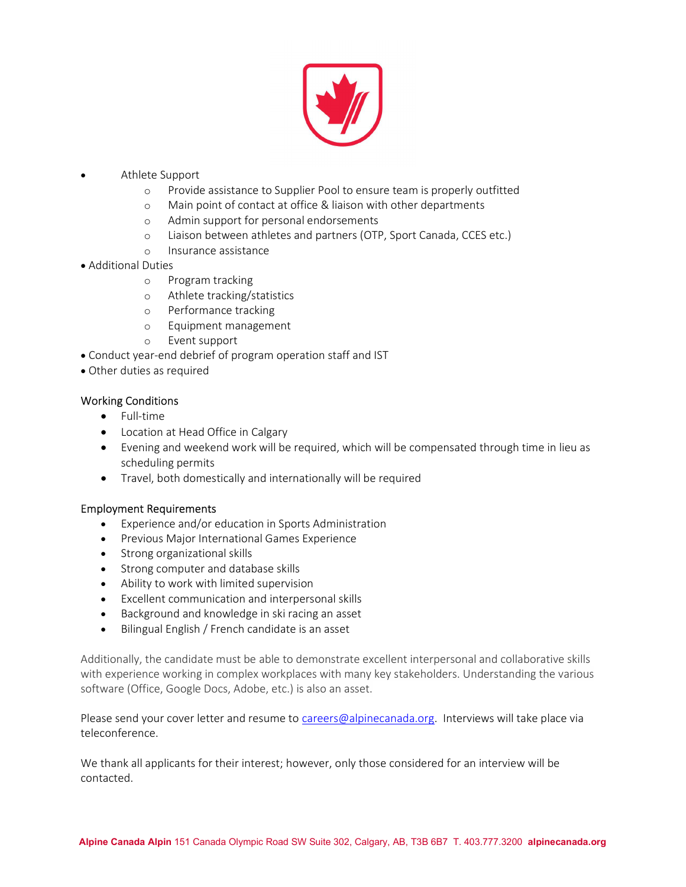

- Athlete Support
	- o Provide assistance to Supplier Pool to ensure team is properly outfitted
	- o Main point of contact at office & liaison with other departments
	- o Admin support for personal endorsements
	- o Liaison between athletes and partners (OTP, Sport Canada, CCES etc.)
	- o Insurance assistance
- Additional Duties
	- o Program tracking
	- o Athlete tracking/statistics
	- o Performance tracking
	- o Equipment management
	- o Event support
- Conduct year-end debrief of program operation staff and IST
- Other duties as required

## Working Conditions

- Full-time
- Location at Head Office in Calgary
- Evening and weekend work will be required, which will be compensated through time in lieu as scheduling permits
- Travel, both domestically and internationally will be required

### Employment Requirements

- Experience and/or education in Sports Administration
- **•** Previous Major International Games Experience
- Strong organizational skills
- Strong computer and database skills
- Ability to work with limited supervision
- Excellent communication and interpersonal skills
- Background and knowledge in ski racing an asset
- Bilingual English / French candidate is an asset

Additionally, the candidate must be able to demonstrate excellent interpersonal and collaborative skills with experience working in complex workplaces with many key stakeholders. Understanding the various software (Office, Google Docs, Adobe, etc.) is also an asset.

Please send your cover letter and resume to careers@alpinecanada.org. Interviews will take place via teleconference.

We thank all applicants for their interest; however, only those considered for an interview will be contacted.